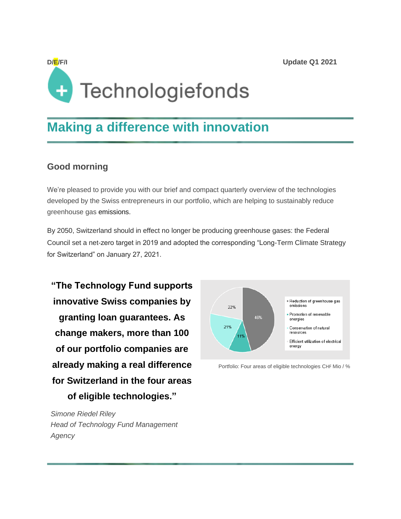# **D/E/F/I Update Q1 2021** Technologiefonds

### **Making a difference with innovation**

#### **Good morning**

We're pleased to provide you with our brief and compact quarterly overview of the technologies developed by the Swiss entrepreneurs in our portfolio, which are helping to sustainably reduce greenhouse gas emissions.

By 2050, Switzerland should in effect no longer be producing greenhouse gases: the Federal Council set a net-zero target in 2019 and adopted the corresponding "Long-Term Climate Strategy for Switzerland" on January 27, 2021.

**"The Technology Fund supports innovative Swiss companies by granting loan guarantees. As change makers, more than 100 of our portfolio companies are already making a real difference for Switzerland in the four areas of eligible technologies."**

*Simone Riedel Riley Head of Technology Fund Management Agency*



Portfolio: Four areas of eligible technologies CHF Mio / %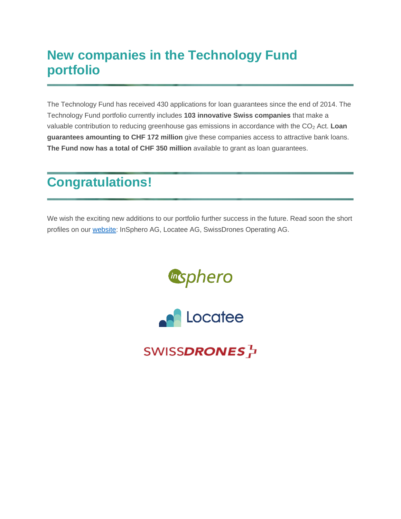# **New companies in the Technology Fund portfolio**

The Technology Fund has received 430 applications for loan guarantees since the end of 2014. The Technology Fund portfolio currently includes **103 innovative Swiss companies** that make a valuable contribution to reducing greenhouse gas emissions in accordance with the CO<sup>2</sup> Act. **Loan guarantees amounting to CHF 172 million** give these companies access to attractive bank loans. **The Fund now has a total of CHF 350 million** available to grant as loan guarantees.

# **Congratulations!**

We wish the exciting new additions to our portfolio further success in the future. Read soon the short profiles on our **website:** InSphero AG, Locatee AG, SwissDrones Operating AG.





SWISS**DRONES** 권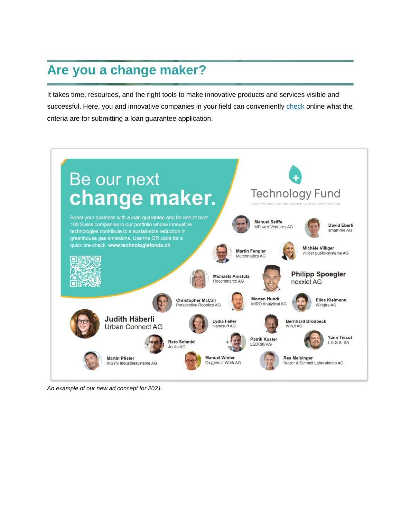# **Are you a change maker?**

It takes time, resources, and the right tools to make innovative products and services visible and successful. Here, you and innovative companies in your field can conveniently [check](https://www.technologyfund.ch/preliminary-check/?no_cache=1) online what the criteria are for submitting a loan guarantee application.



*An example of our new ad concept for 2021.*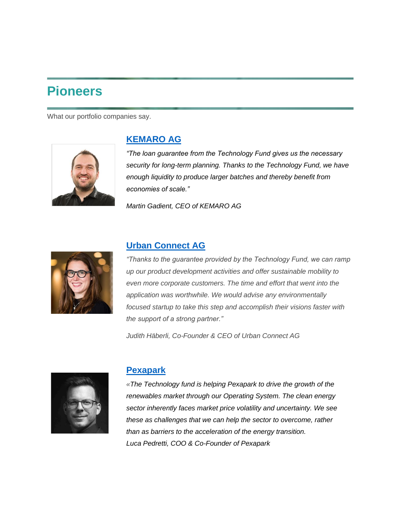### **Pioneers**

What our portfolio companies say.



#### **[KEMARO AG](https://www.technologyfund.ch/portfolio/)**

*"The loan guarantee from the Technology Fund gives us the necessary security for long-term planning. Thanks to the Technology Fund, we have enough liquidity to produce larger batches and thereby benefit from economies of scale."*

*Martin Gadient, CEO of KEMARO AG*



#### **[Urban Connect AG](https://www.technologyfund.ch/portfolio/)**

*"Thanks to the guarantee provided by the Technology Fund, we can ramp up our product development activities and offer sustainable mobility to even more corporate customers. The time and effort that went into the application was worthwhile. We would advise any environmentally focused startup to take this step and accomplish their visions faster with the support of a strong partner."*

*Judith Häberli, Co-Founder & CEO of Urban Connect AG*



#### **[Pexapark](https://www.technologyfund.ch/portfolio/)**

*«The Technology fund is helping Pexapark to drive the growth of the renewables market through our Operating System. The clean energy sector inherently faces market price volatility and uncertainty. We see these as challenges that we can help the sector to overcome, rather than as barriers to the acceleration of the energy transition. Luca Pedretti, COO & Co-Founder of Pexapark*